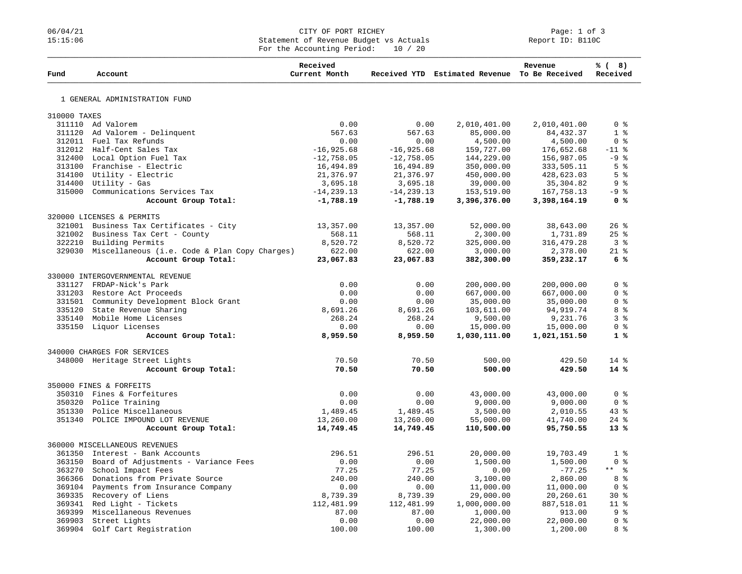## 06/04/21 CITY OF PORT RICHEY PAGE: 1 OF 3<br>15:15:06 Statement of Revenue Budget vs Actuals Report ID: B110C Statement of Revenue Budget vs Actuals For the Accounting Period: 10 / 20

| Fund         | Account                                              | Received<br>Current Month |               | Received YTD Estimated Revenue To Be Received | Revenue      | % (8)<br>Received          |
|--------------|------------------------------------------------------|---------------------------|---------------|-----------------------------------------------|--------------|----------------------------|
|              | 1 GENERAL ADMINISTRATION FUND                        |                           |               |                                               |              |                            |
|              |                                                      |                           |               |                                               |              |                            |
| 310000 TAXES |                                                      |                           |               |                                               |              |                            |
|              | 311110 Ad Valorem                                    | 0.00                      | 0.00          | 2,010,401.00                                  | 2,010,401.00 | 0 <sup>8</sup>             |
|              | 311120 Ad Valorem - Delinquent                       | 567.63                    | 567.63        | 85,000.00                                     | 84, 432.37   | 1 <sup>8</sup>             |
|              | 312011 Fuel Tax Refunds                              | 0.00                      | 0.00          | 4,500.00                                      | 4,500.00     | 0 <sup>8</sup>             |
|              | 312012 Half-Cent Sales Tax                           | $-16,925.68$              | $-16,925.68$  | 159,727.00                                    | 176,652.68   | $-11$ %                    |
|              | 312400 Local Option Fuel Tax                         | $-12,758.05$              | $-12,758.05$  | 144,229.00                                    | 156,987.05   | $-9$ %                     |
|              | 313100 Franchise - Electric                          | 16,494.89                 | 16,494.89     | 350,000.00                                    | 333,505.11   | 5 <sup>8</sup>             |
|              | 314100 Utility - Electric                            | 21,376.97                 | 21,376.97     | 450,000.00                                    | 428,623.03   | 5 <sup>8</sup>             |
|              | $314400$ Utility - Gas                               | 3,695.18                  | 3,695.18      | 39,000.00                                     | 35, 304.82   | 9 <sub>8</sub>             |
|              | 315000 Communications Services Tax                   | $-14, 239.13$             | $-14, 239.13$ | 153,519.00                                    | 167,758.13   | $-9$ %                     |
|              | Account Group Total:                                 | $-1,788.19$               | $-1,788.19$   | 3,396,376.00                                  | 3,398,164.19 | 0 <sup>8</sup>             |
|              | 320000 LICENSES & PERMITS                            |                           |               |                                               |              |                            |
|              | 321001 Business Tax Certificates - City              | 13,357.00                 | 13,357.00     | 52,000.00                                     | 38,643.00    | 26%                        |
| 321002       | Business Tax Cert - County                           | 568.11                    | 568.11        | 2,300.00                                      | 1,731.89     | 25%                        |
| 322210       | Building Permits                                     | 8,520.72                  | 8,520.72      | 325,000.00                                    | 316, 479.28  | 3 <sup>8</sup>             |
|              | 329030 Miscellaneous (i.e. Code & Plan Copy Charges) | 622.00                    | 622.00        | 3,000.00                                      | 2,378.00     | $21*$                      |
|              | Account Group Total:                                 | 23,067.83                 | 23,067.83     | 382,300.00                                    | 359,232.17   | 6%                         |
|              |                                                      |                           |               |                                               |              |                            |
|              | 330000 INTERGOVERNMENTAL REVENUE                     |                           |               |                                               |              |                            |
|              | 331127 FRDAP-Nick's Park                             | 0.00                      | 0.00          | 200,000.00                                    | 200,000.00   | 0 <sup>8</sup>             |
|              | 331203 Restore Act Proceeds                          | 0.00                      | 0.00          | 667,000.00                                    | 667,000.00   | 0 <sup>8</sup>             |
|              | 331501 Community Development Block Grant             | 0.00                      | 0.00          | 35,000.00                                     | 35,000.00    | 0 <sup>8</sup>             |
|              | 335120 State Revenue Sharing                         | 8,691.26                  | 8,691.26      | 103,611.00                                    | 94, 919. 74  | 8 %                        |
|              | 335140 Mobile Home Licenses                          | 268.24                    | 268.24        | 9,500.00                                      | 9,231.76     | 3%                         |
|              | 335150 Liquor Licenses                               | 0.00                      | 0.00          | 15,000.00                                     | 15,000.00    | 0 <sup>8</sup>             |
|              | Account Group Total:                                 | 8,959.50                  | 8,959.50      | 1,030,111.00                                  | 1,021,151.50 | 1 <sup>8</sup>             |
|              | 340000 CHARGES FOR SERVICES                          |                           |               |                                               |              |                            |
|              | 348000 Heritage Street Lights                        | 70.50                     | 70.50         | 500.00                                        | 429.50       | $14*$                      |
|              | Account Group Total:                                 | 70.50                     | 70.50         | 500.00                                        | 429.50       | 14%                        |
|              | 350000 FINES & FORFEITS                              |                           |               |                                               |              |                            |
| 350310       | Fines & Forfeitures                                  | 0.00                      | 0.00          | 43,000.00                                     | 43,000.00    | 0 <sup>8</sup>             |
|              | 350320 Police Training                               | 0.00                      | 0.00          | 9,000.00                                      | 9,000.00     | 0 <sup>8</sup>             |
|              | 351330 Police Miscellaneous                          | 1,489.45                  | 1,489.45      | 3,500.00                                      | 2,010.55     | 43%                        |
|              | 351340 POLICE IMPOUND LOT REVENUE                    | 13,260.00                 | 13,260.00     | 55,000.00                                     | 41,740.00    | $24$ %                     |
|              | Account Group Total:                                 | 14,749.45                 | 14,749.45     | 110,500.00                                    | 95,750.55    | $13*$                      |
|              |                                                      |                           |               |                                               |              |                            |
|              | 360000 MISCELLANEOUS REVENUES                        |                           |               |                                               |              |                            |
|              | 361350 Interest - Bank Accounts                      | 296.51                    | 296.51        | 20,000.00                                     | 19,703.49    | 1 <sup>8</sup>             |
|              | 363150 Board of Adjustments - Variance Fees          | 0.00                      | 0.00          | 1,500.00                                      | 1,500.00     | 0 <sup>8</sup>             |
| 363270       | School Impact Fees                                   | 77.25                     | 77.25         | 0.00                                          | $-77.25$     | $\star$ $\star$<br>း<br>ကိ |
|              | 366366 Donations from Private Source                 | 240.00                    | 240.00        | 3,100.00                                      | 2,860.00     | 8 %                        |
|              | 369104 Payments from Insurance Company               | 0.00                      | 0.00          | 11,000.00                                     | 11,000.00    | 0 <sup>8</sup>             |
|              | 369335 Recovery of Liens                             | 8,739.39                  | 8,739.39      | 29,000.00                                     | 20,260.61    | $30*$                      |
|              | 369341 Red Light - Tickets                           | 112,481.99                | 112,481.99    | 1,000,000.00                                  | 887,518.01   | 11 <sup>°</sup>            |
|              | 369399 Miscellaneous Revenues                        | 87.00                     | 87.00         | 1,000.00                                      | 913.00       | 9%                         |
| 369903       | Street Lights                                        | 0.00                      | 0.00          | 22,000.00                                     | 22,000.00    | 0 <sup>8</sup>             |
| 369904       | Golf Cart Registration                               | 100.00                    | 100.00        | 1,300.00                                      | 1,200.00     | 8 %                        |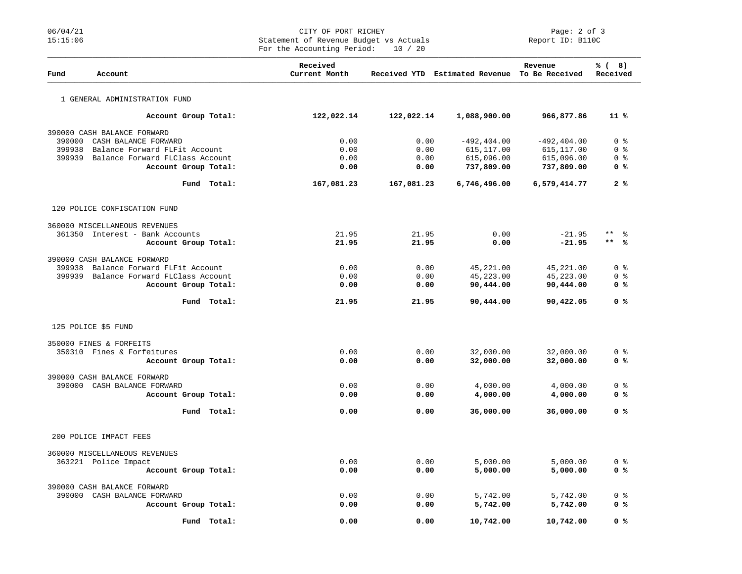## 06/04/21 CITY OF PORT RICHEY PORT RICHEY PAGE: 2 of 3<br>15:15:06 Statement of Revenue Budget vs Actuals Report ID: B110C Statement of Revenue Budget vs Actuals For the Accounting Period: 10 / 20

| Fund   | Account                                                      | Received<br>Current Month |              | Received YTD Estimated Revenue To Be Received | Revenue              | % (8)<br>Received                  |
|--------|--------------------------------------------------------------|---------------------------|--------------|-----------------------------------------------|----------------------|------------------------------------|
|        | 1 GENERAL ADMINISTRATION FUND                                |                           |              |                                               |                      |                                    |
|        | Account Group Total:                                         | 122,022.14                | 122,022.14   | 1,088,900.00                                  | 966,877.86           | $11 \text{ }$                      |
|        | 390000 CASH BALANCE FORWARD                                  |                           |              |                                               |                      |                                    |
| 390000 | CASH BALANCE FORWARD                                         | 0.00                      | 0.00         | $-492, 404.00$                                | $-492, 404.00$       | $0 \text{ }$ $\text{ }$ $\text{ }$ |
| 399938 | Balance Forward FLFit Account                                | 0.00                      | 0.00         | 615,117.00                                    | 615, 117.00          | 0 <sup>8</sup>                     |
| 399939 | Balance Forward FLClass Account                              | 0.00                      | 0.00         | 615,096.00                                    | 615,096.00           | 0 <sup>8</sup>                     |
|        | Account Group Total:                                         | 0.00                      | 0.00         | 737,809.00                                    | 737,809.00           | 0 %                                |
|        | Fund Total:                                                  | 167,081.23                | 167,081.23   | 6,746,496.00                                  | 6,579,414.77         | 2%                                 |
|        | 120 POLICE CONFISCATION FUND                                 |                           |              |                                               |                      |                                    |
|        | 360000 MISCELLANEOUS REVENUES                                |                           |              |                                               |                      |                                    |
|        | 361350 Interest - Bank Accounts                              | 21.95                     | 21.95        | 0.00                                          | $-21.95$             | $\star\star$<br>ႜ                  |
|        | Account Group Total:                                         | 21.95                     | 21.95        | 0.00                                          | $-21.95$             | $***$ %                            |
|        |                                                              |                           |              |                                               |                      |                                    |
| 399938 | 390000 CASH BALANCE FORWARD<br>Balance Forward FLFit Account | 0.00                      | 0.00         | 45,221.00                                     | 45,221.00            | 0 <sup>8</sup>                     |
| 399939 | Balance Forward FLClass Account                              | 0.00                      | 0.00         | 45,223.00                                     | 45,223.00            | 0 <sup>8</sup>                     |
|        | Account Group Total:                                         | 0.00                      | 0.00         | 90,444.00                                     | 90,444.00            | 0 <sup>8</sup>                     |
|        |                                                              |                           |              |                                               |                      |                                    |
|        | Fund Total:                                                  | 21.95                     | 21.95        | 90,444.00                                     | 90,422.05            | 0 %                                |
|        | 125 POLICE \$5 FUND                                          |                           |              |                                               |                      |                                    |
|        | 350000 FINES & FORFEITS                                      |                           |              |                                               |                      |                                    |
|        | 350310 Fines & Forfeitures                                   | 0.00                      | 0.00         | 32,000.00                                     | 32,000.00            | 0 <sub>8</sub>                     |
|        | Account Group Total:                                         | 0.00                      | 0.00         | 32,000.00                                     | 32,000.00            | 0 <sup>8</sup>                     |
|        |                                                              |                           |              |                                               |                      |                                    |
|        | 390000 CASH BALANCE FORWARD<br>390000 CASH BALANCE FORWARD   | 0.00                      | 0.00         | 4,000.00                                      | 4,000.00             | 0 <sub>8</sub>                     |
|        | Account Group Total:                                         | 0.00                      | 0.00         | 4,000.00                                      | 4,000.00             | 0 %                                |
|        |                                                              |                           |              |                                               |                      |                                    |
|        | Fund Total:                                                  | 0.00                      | 0.00         | 36,000.00                                     | 36,000.00            | 0 %                                |
|        | 200 POLICE IMPACT FEES                                       |                           |              |                                               |                      |                                    |
|        | 360000 MISCELLANEOUS REVENUES                                |                           |              |                                               |                      |                                    |
|        | 363221 Police Impact                                         | 0.00                      | 0.00         | 5,000.00                                      | 5,000.00             | 0 <sup>8</sup>                     |
|        | Account Group Total:                                         | 0.00                      | 0.00         | 5,000.00                                      | 5,000.00             | 0 <sup>8</sup>                     |
|        |                                                              |                           |              |                                               |                      |                                    |
|        | 390000 CASH BALANCE FORWARD                                  |                           |              |                                               |                      |                                    |
|        | 390000 CASH BALANCE FORWARD<br>Account Group Total:          | 0.00<br>0.00              | 0.00<br>0.00 | 5,742.00<br>5,742.00                          | 5,742.00<br>5,742.00 | 0 <sub>8</sub><br>0 %              |
|        |                                                              |                           |              |                                               |                      |                                    |
|        | Total:<br>Fund                                               | 0.00                      | 0.00         | 10,742.00                                     | 10,742.00            | 0 %                                |